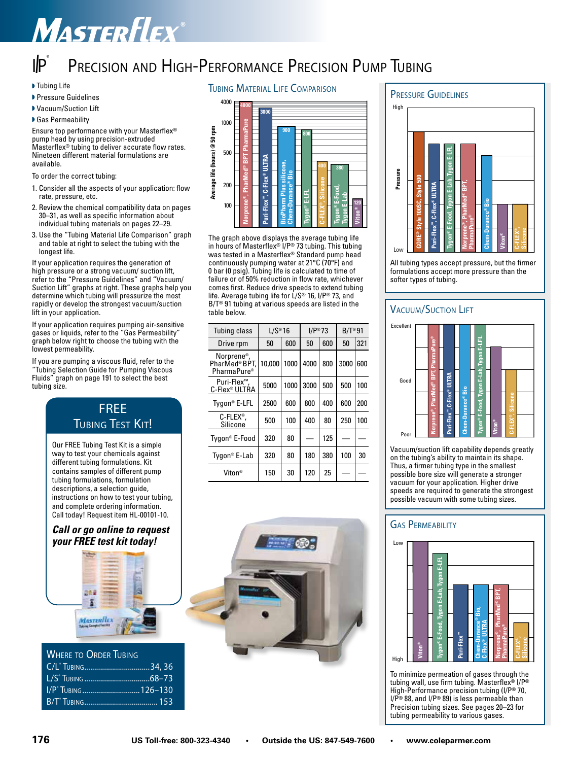# Masterflex®

### I/P ® Precision and High-Performance Precision Pump Tubing

- $\blacktriangleright$  Tubing Life
- **Pressure Guidelines**
- ▶ Vacuum/Suction Lift
- ▶ Gas Permeability

Ensure top performance with your Masterflex® pump head by using precision-extruded Masterflex® tubing to deliver accurate flow rates. Nineteen different material formulations are available.

To order the correct tubing:

- 1. Consider all the aspects of your application: flow rate, pressure, etc.
- 2. Review the chemical compatibility data on pages 30–31, as well as specific information about individual tubing materials on pages 22–29.
- 3. Use the "Tubing Material Life Comparison" graph and table at right to select the tubing with the longest life.

If your application requires the generation of high pressure or a strong vacuum/ suction lift, refer to the "Pressure Guidelines" and "Vacuum/ Suction Lift" graphs at right. These graphs help you determine which tubing will pressurize the most rapidly or develop the strongest vacuum/suction lift in your application.

If your application requires pumping air-sensitive gases or liquids, refer to the "Gas Permeability" graph below right to choose the tubing with the lowest permeability.

If you are pumping a viscous fluid, refer to the "Tubing Selection Guide for Pumping Viscous Fluids" graph on page 191 to select the best tubing size.

### FREE **TUBING TEST KIT!**

Our FREE Tubing Test Kit is a simple way to test your chemicals against different tubing formulations. Kit contains samples of different pump tubing formulations, formulation descriptions, a selection guide, instructions on how to test your tubing, and complete ordering information. Call today! Request item HL-00101-10.

### *Call or go online to request your FREE test kit today!*



#### WHERE TO ORDER TUBING  $C/L^*$ Tubing.................................34, 36

| I/P <sup>*</sup> TUBING126-130 |  |
|--------------------------------|--|
|                                |  |

### Tubing Material Life Comparison



The graph above displays the average tubing life in hours of Masterflex® I/P® 73 tubing. This tubing was tested in a Masterflex® Standard pump head continuously pumping water at 21°C (70°F) and 0 bar (0 psig). Tubing life is calculated to time of failure or of 50% reduction in flow rate, whichever comes first. Reduce drive speeds to extend tubing life. Average tubing life for L/S® 16, I/P® 73, and B/T® 91 tubing at various speeds are listed in the table below.

| Tubing class                                                       | $L/S^{\circledcirc}$ 16 |      | $I/P^*$ 73 |     | $B/T^{\circledcirc}91$ |     |
|--------------------------------------------------------------------|-------------------------|------|------------|-----|------------------------|-----|
| Drive rpm                                                          | 50                      | 600  | 50         | 600 | 50                     | 321 |
| Norprene <sup>®</sup> ,<br>PharMed®BPT.<br>PharmaPure <sup>®</sup> | 10.000                  | 1000 | 4000       | 800 | 3000                   | 600 |
| Puri-Flex <sup>™</sup> .<br>C-Flex® ULTRA                          | 5000                    | 1000 | 3000       | 500 | 500                    | 100 |
| Tygon® E-LFL                                                       | 2500                    | 600  | 800        | 400 | 600                    | 200 |
| $C$ -FLEX <sup>®</sup> ,<br>Silicone                               | 500                     | 100  | 400        | 80  | 250                    | 100 |
| Tygon <sup>®</sup> E-Food                                          | 320                     | 80   |            | 125 |                        |     |
| Tygon <sup>®</sup> E-Lab                                           | 320                     | 80   | 180        | 380 | 100                    | 30  |
| Viton <sup>®</sup>                                                 | 150                     | 30   | 120        | 25  |                        |     |



All tubing types accept pressure, but the firmer formulations accept more pressure than the

### **VACUUM/SUCTION LIFT**



Vacuum/suction lift capability depends greatly on the tubing's ability to maintain its shape. Thus, a firmer tubing type in the smallest possible bore size will generate a stronger vacuum for your application. Higher drive speeds are required to generate the strongest possible vacuum with some tubing sizes.

### Gas Permeability



To minimize permeation of gases through the tubing wall, use firm tubing. Masterflex® I/P® High-Performance precision tubing (I/P® 70, I/P® 88, and I/P® 89) is less permeable than Precision tubing sizes. See pages 20–23 for tubing permeability to various gases.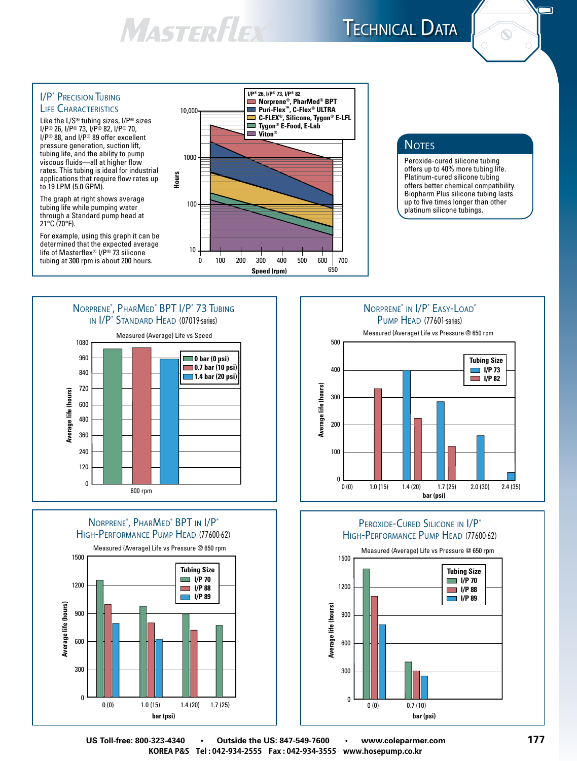## MASTERFLEX

### **TECHNICAL DATA**



### I/P® Precision Tubing **LIFE CHARACTERISTICS**

Like the L/S® tubing sizes, I/P® sizes I/P® 26, I/P® 73, I/P® 82, I/P® 70, I/P® 88, and I/P® 89 offer excellent pressure generation, suction lift, tubing life, and the ability to pump viscous fluids—all at higher flow rates. This tubing is ideal for industrial applications that require flow rates up to 19 LPM (5.0 GPM).

The graph at right shows average tubing life while pumping water through a Standard pump head at 21°C (70°F).

For example, using this graph it can be determined that the expected average life of Masterflex® I/P® 73 silicone tubing at 300 rpm is about 200 hours.



### **NOTES**

Peroxide-cured silicone tubing offers up to 40% more tubing life. Platinum-cured silicone tubing offers better chemical compatibility. Biopharm Plus silicone tubing lasts up to five times longer than other platinum silicone tubings.







### PEROXIDE-CURED SILICONE IN I/P® High-Performance Pump Head (77600-62)